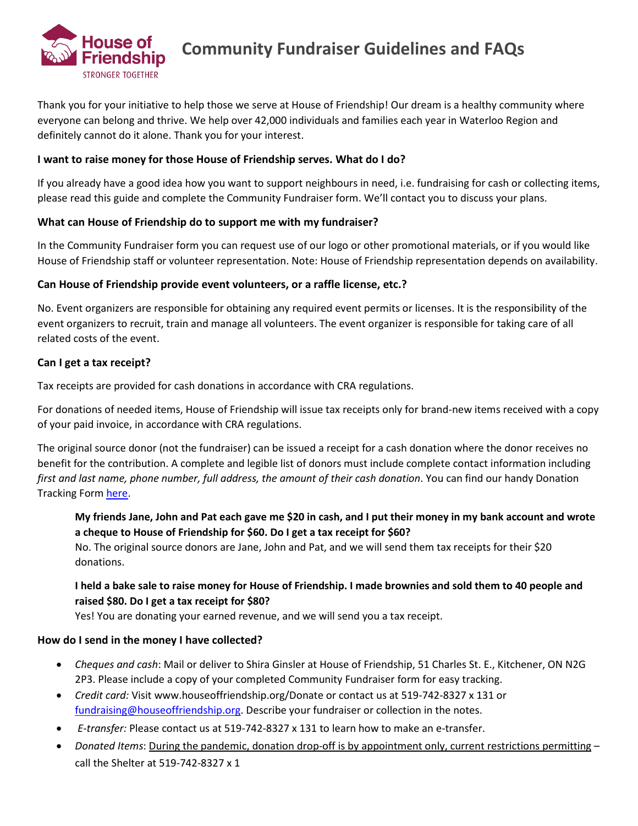

Thank you for your initiative to help those we serve at House of Friendship! Our dream is a healthy community where everyone can belong and thrive. We help over 42,000 individuals and families each year in Waterloo Region and definitely cannot do it alone. Thank you for your interest.

### **I want to raise money for those House of Friendship serves. What do I do?**

If you already have a good idea how you want to support neighbours in need, i.e. fundraising for cash or collecting items, please read this guide and complete the Community Fundraiser form. We'll contact you to discuss your plans.

### **What can House of Friendship do to support me with my fundraiser?**

In the Community Fundraiser form you can request use of our logo or other promotional materials, or if you would like House of Friendship staff or volunteer representation. Note: House of Friendship representation depends on availability.

### **Can House of Friendship provide event volunteers, or a raffle license, etc.?**

No. Event organizers are responsible for obtaining any required event permits or licenses. It is the responsibility of the event organizers to recruit, train and manage all volunteers. The event organizer is responsible for taking care of all related costs of the event.

### **Can I get a tax receipt?**

Tax receipts are provided for cash donations in accordance with CRA regulations.

For donations of needed items, House of Friendship will issue tax receipts only for brand-new items received with a copy of your paid invoice, in accordance with CRA regulations.

The original source donor (not the fundraiser) can be issued a receipt for a cash donation where the donor receives no benefit for the contribution. A complete and legible list of donors must include complete contact information including *first and last name, phone number, full address, the amount of their cash donation*. You can find our handy Donation Tracking Form [here.](https://www.houseoffriendship.org/wp-content/uploads/2020/10/Donation-Tracking-Form.pdf)

# **My friends Jane, John and Pat each gave me \$20 in cash, and I put their money in my bank account and wrote a cheque to House of Friendship for \$60. Do I get a tax receipt for \$60?**

No. The original source donors are Jane, John and Pat, and we will send them tax receipts for their \$20 donations.

## **I held a bake sale to raise money for House of Friendship. I made brownies and sold them to 40 people and raised \$80. Do I get a tax receipt for \$80?**

Yes! You are donating your earned revenue, and we will send you a tax receipt.

## **How do I send in the money I have collected?**

- *Cheques and cash*: Mail or deliver to Shira Ginsler at House of Friendship, 51 Charles St. E., Kitchener, ON N2G 2P3. Please include a copy of your completed Community Fundraiser form for easy tracking.
- *Credit card:* Visit [www.houseoffriendship.org/Donate](http://www.houseoffriendship.org/Donate) or contact us at 519-742-8327 x 131 or [fundraising@houseoffriendship.org.](mailto:fundraising@houseoffriendship.org) Describe your fundraiser or collection in the notes.
- *E-transfer:* Please contact us at 519-742-8327 x 131 to learn how to make an e-transfer.
- *Donated Items*: During the pandemic, donation drop-off is by appointment only, current restrictions permitting call the Shelter at 519-742-8327 x 1